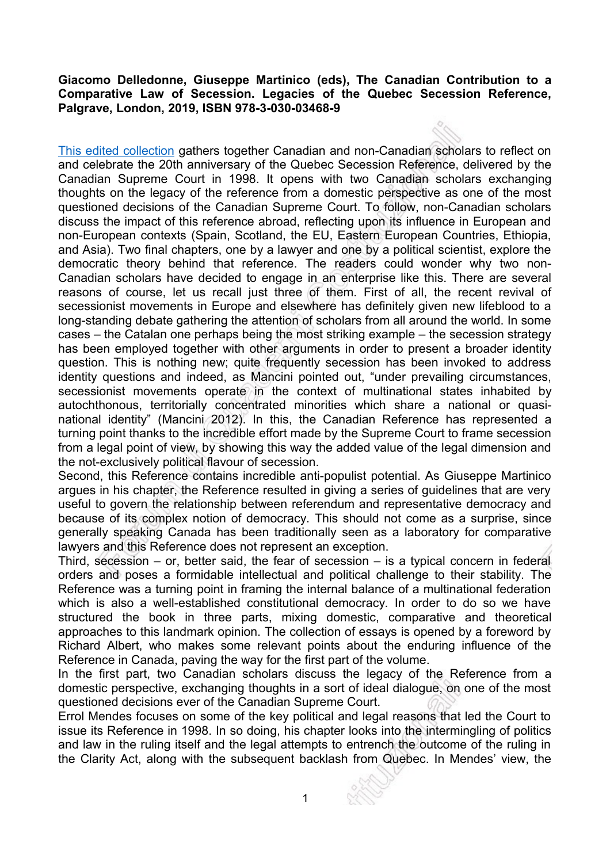**Giacomo Delledonne, Giuseppe Martinico (eds), The Canadian Contribution to a Comparative Law of Secession. Legacies of the Quebec Secession Reference, Palgrave, London, 2019, ISBN 978-3-030-03468-9**

[This edited collection](https://www.palgrave.com/us/book/9783030034689) gathers together Canadian and non-Canadian scholars to reflect on and celebrate the 20th anniversary of the Quebec Secession Reference, delivered by the Canadian Supreme Court in 1998. It opens with two Canadian scholars exchanging thoughts on the legacy of the reference from a domestic perspective as one of the most questioned decisions of the Canadian Supreme Court. To follow, non-Canadian scholars discuss the impact of this reference abroad, reflecting upon its influence in European and non-European contexts (Spain, Scotland, the EU, Eastern European Countries, Ethiopia, and Asia). Two final chapters, one by a lawyer and one by a political scientist, explore the democratic theory behind that reference. The readers could wonder why two non-Canadian scholars have decided to engage in an enterprise like this. There are several reasons of course, let us recall just three of them. First of all, the recent revival of secessionist movements in Europe and elsewhere has definitely given new lifeblood to a long-standing debate gathering the attention of scholars from all around the world. In some cases – the Catalan one perhaps being the most striking example – the secession strategy has been employed together with other arguments in order to present a broader identity question. This is nothing new; quite frequently secession has been invoked to address identity questions and indeed, as Mancini pointed out, "under prevailing circumstances, secessionist movements operate in the context of multinational states inhabited by autochthonous, territorially concentrated minorities which share a national or quasinational identity" (Mancini 2012). In this, the Canadian Reference has represented a turning point thanks to the incredible effort made by the Supreme Court to frame secession from a legal point of view, by showing this way the added value of the legal dimension and the not-exclusively political flavour of secession.

Second, this Reference contains incredible anti-populist potential. As Giuseppe Martinico argues in his chapter, the Reference resulted in giving a series of guidelines that are very useful to govern the relationship between referendum and representative democracy and because of its complex notion of democracy. This should not come as a surprise, since generally speaking Canada has been traditionally seen as a laboratory for comparative lawyers and this Reference does not represent an exception.

Third, secession  $-$  or, better said, the fear of secession  $-$  is a typical concern in federal orders and poses a formidable intellectual and political challenge to their stability. The Reference was a turning point in framing the internal balance of a multinational federation which is also a well-established constitutional democracy. In order to do so we have structured the book in three parts, mixing domestic, comparative and theoretical approaches to this landmark opinion. The collection of essays is opened by a foreword by Richard Albert, who makes some relevant points about the enduring influence of the Reference in Canada, paving the way for the first part of the volume.

In the first part, two Canadian scholars discuss the legacy of the Reference from a domestic perspective, exchanging thoughts in a sort of ideal dialogue, on one of the most questioned decisions ever of the Canadian Supreme Court.

Errol Mendes focuses on some of the key political and legal reasons that led the Court to issue its Reference in 1998. In so doing, his chapter looks into the intermingling of politics and law in the ruling itself and the legal attempts to entrench the outcome of the ruling in the Clarity Act, along with the subsequent backlash from Quebec. In Mendes' view, the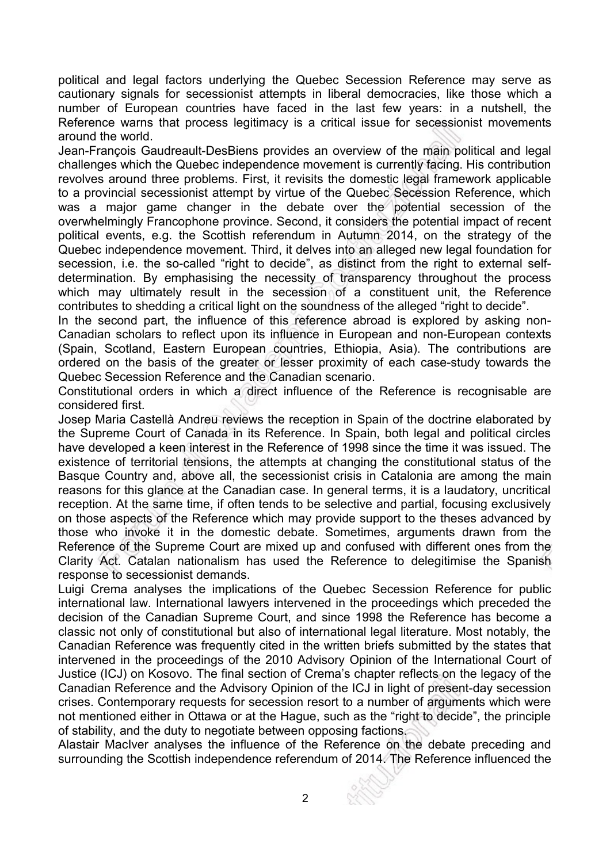political and legal factors underlying the Quebec Secession Reference may serve as cautionary signals for secessionist attempts in liberal democracies, like those which a number of European countries have faced in the last few years: in a nutshell, the Reference warns that process legitimacy is a critical issue for secessionist movements around the world.

Jean-François Gaudreault-DesBiens provides an overview of the main political and legal challenges which the Quebec independence movement is currently facing. His contribution revolves around three problems. First, it revisits the domestic legal framework applicable to a provincial secessionist attempt by virtue of the Quebec Secession Reference, which was a major game changer in the debate over the potential secession of the overwhelmingly Francophone province. Second, it considers the potential impact of recent political events, e.g. the Scottish referendum in Autumn 2014, on the strategy of the Quebec independence movement. Third, it delves into an alleged new legal foundation for secession, i.e. the so-called "right to decide", as distinct from the right to external selfdetermination. By emphasising the necessity of transparency throughout the process which may ultimately result in the secession of a constituent unit, the Reference contributes to shedding a critical light on the soundness of the alleged "right to decide".

In the second part, the influence of this reference abroad is explored by asking non-Canadian scholars to reflect upon its influence in European and non-European contexts (Spain, Scotland, Eastern European countries, Ethiopia, Asia). The contributions are ordered on the basis of the greater or lesser proximity of each case-study towards the Quebec Secession Reference and the Canadian scenario.

Constitutional orders in which a direct influence of the Reference is recognisable are considered first.

Josep Maria Castellà Andreu reviews the reception in Spain of the doctrine elaborated by the Supreme Court of Canada in its Reference. In Spain, both legal and political circles have developed a keen interest in the Reference of 1998 since the time it was issued. The existence of territorial tensions, the attempts at changing the constitutional status of the Basque Country and, above all, the secessionist crisis in Catalonia are among the main reasons for this glance at the Canadian case. In general terms, it is a laudatory, uncritical reception. At the same time, if often tends to be selective and partial, focusing exclusively on those aspects of the Reference which may provide support to the theses advanced by those who invoke it in the domestic debate. Sometimes, arguments drawn from the Reference of the Supreme Court are mixed up and confused with different ones from the Clarity Act. Catalan nationalism has used the Reference to delegitimise the Spanish response to secessionist demands.

Luigi Crema analyses the implications of the Quebec Secession Reference for public international law. International lawyers intervened in the proceedings which preceded the decision of the Canadian Supreme Court, and since 1998 the Reference has become a classic not only of constitutional but also of international legal literature. Most notably, the Canadian Reference was frequently cited in the written briefs submitted by the states that intervened in the proceedings of the 2010 Advisory Opinion of the International Court of Justice (ICJ) on Kosovo. The final section of Crema's chapter reflects on the legacy of the Canadian Reference and the Advisory Opinion of the ICJ in light of present-day secession crises. Contemporary requests for secession resort to a number of arguments which were not mentioned either in Ottawa or at the Hague, such as the "right to decide", the principle of stability, and the duty to negotiate between opposing factions.

Alastair MacIver analyses the influence of the Reference on the debate preceding and surrounding the Scottish independence referendum of 2014. The Reference influenced the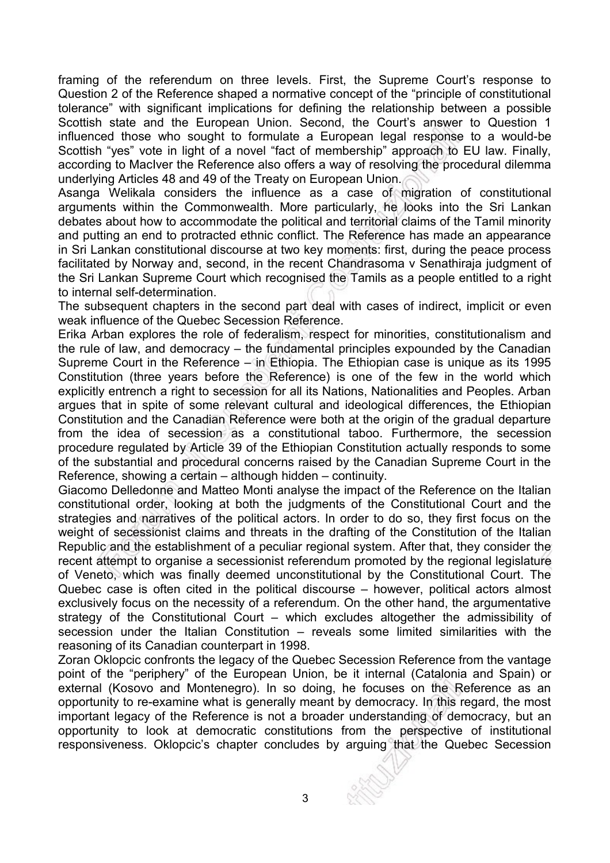framing of the referendum on three levels. First, the Supreme Court's response to Question 2 of the Reference shaped a normative concept of the "principle of constitutional tolerance" with significant implications for defining the relationship between a possible Scottish state and the European Union. Second, the Court's answer to Question 1 influenced those who sought to formulate a European legal response to a would-be Scottish "yes" vote in light of a novel "fact of membership" approach to EU law. Finally, according to MacIver the Reference also offers a way of resolving the procedural dilemma underlying Articles 48 and 49 of the Treaty on European Union.

Asanga Welikala considers the influence as a case of migration of constitutional arguments within the Commonwealth. More particularly, he looks into the Sri Lankan debates about how to accommodate the political and territorial claims of the Tamil minority and putting an end to protracted ethnic conflict. The Reference has made an appearance in Sri Lankan constitutional discourse at two key moments: first, during the peace process facilitated by Norway and, second, in the recent Chandrasoma v Senathiraja judgment of the Sri Lankan Supreme Court which recognised the Tamils as a people entitled to a right to internal self-determination.

The subsequent chapters in the second part deal with cases of indirect, implicit or even weak influence of the Quebec Secession Reference.

Erika Arban explores the role of federalism, respect for minorities, constitutionalism and the rule of law, and democracy – the fundamental principles expounded by the Canadian Supreme Court in the Reference – in Ethiopia. The Ethiopian case is unique as its 1995 Constitution (three years before the Reference) is one of the few in the world which explicitly entrench a right to secession for all its Nations, Nationalities and Peoples. Arban argues that in spite of some relevant cultural and ideological differences, the Ethiopian Constitution and the Canadian Reference were both at the origin of the gradual departure from the idea of secession as a constitutional taboo. Furthermore, the secession procedure regulated by Article 39 of the Ethiopian Constitution actually responds to some of the substantial and procedural concerns raised by the Canadian Supreme Court in the Reference, showing a certain – although hidden – continuity.

Giacomo Delledonne and Matteo Monti analyse the impact of the Reference on the Italian constitutional order, looking at both the judgments of the Constitutional Court and the strategies and narratives of the political actors. In order to do so, they first focus on the weight of secessionist claims and threats in the drafting of the Constitution of the Italian Republic and the establishment of a peculiar regional system. After that, they consider the recent attempt to organise a secessionist referendum promoted by the regional legislature of Veneto, which was finally deemed unconstitutional by the Constitutional Court. The Quebec case is often cited in the political discourse – however, political actors almost exclusively focus on the necessity of a referendum. On the other hand, the argumentative strategy of the Constitutional Court – which excludes altogether the admissibility of secession under the Italian Constitution – reveals some limited similarities with the reasoning of its Canadian counterpart in 1998.

Zoran Oklopcic confronts the legacy of the Quebec Secession Reference from the vantage point of the "periphery" of the European Union, be it internal (Catalonia and Spain) or external (Kosovo and Montenegro). In so doing, he focuses on the Reference as an opportunity to re-examine what is generally meant by democracy. In this regard, the most important legacy of the Reference is not a broader understanding of democracy, but an opportunity to look at democratic constitutions from the perspective of institutional responsiveness. Oklopcic's chapter concludes by arguing that the Quebec Secession